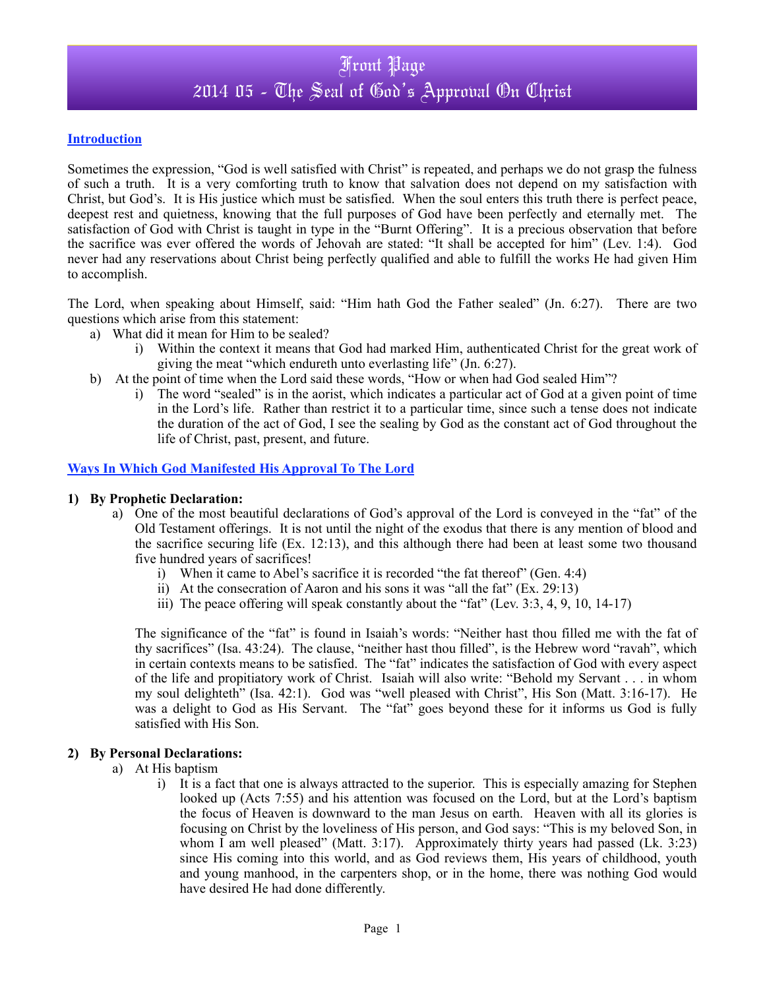## Front Page 2014 05 - The Seal of God's Approval On Christ

#### **Introduction**

Sometimes the expression, "God is well satisfied with Christ" is repeated, and perhaps we do not grasp the fulness of such a truth. It is a very comforting truth to know that salvation does not depend on my satisfaction with Christ, but God's. It is His justice which must be satisfied. When the soul enters this truth there is perfect peace, deepest rest and quietness, knowing that the full purposes of God have been perfectly and eternally met. The satisfaction of God with Christ is taught in type in the "Burnt Offering". It is a precious observation that before the sacrifice was ever offered the words of Jehovah are stated: "It shall be accepted for him" (Lev. 1:4). God never had any reservations about Christ being perfectly qualified and able to fulfill the works He had given Him to accomplish.

The Lord, when speaking about Himself, said: "Him hath God the Father sealed" (Jn. 6:27). There are two questions which arise from this statement:

- a) What did it mean for Him to be sealed?
	- i) Within the context it means that God had marked Him, authenticated Christ for the great work of giving the meat "which endureth unto everlasting life" (Jn. 6:27).
- b) At the point of time when the Lord said these words, "How or when had God sealed Him"?
	- i) The word "sealed" is in the aorist, which indicates a particular act of God at a given point of time in the Lord's life. Rather than restrict it to a particular time, since such a tense does not indicate the duration of the act of God, I see the sealing by God as the constant act of God throughout the life of Christ, past, present, and future.

#### **Ways In Which God Manifested His Approval To The Lord**

#### **1) By Prophetic Declaration:**

- a) One of the most beautiful declarations of God's approval of the Lord is conveyed in the "fat" of the Old Testament offerings. It is not until the night of the exodus that there is any mention of blood and the sacrifice securing life (Ex. 12:13), and this although there had been at least some two thousand five hundred years of sacrifices!
	- i) When it came to Abel's sacrifice it is recorded "the fat thereof" (Gen. 4:4)
	- ii) At the consecration of Aaron and his sons it was "all the fat" (Ex. 29:13)
	- iii) The peace offering will speak constantly about the "fat" (Lev. 3:3, 4, 9, 10, 14-17)

The significance of the "fat" is found in Isaiah's words: "Neither hast thou filled me with the fat of thy sacrifices" (Isa. 43:24). The clause, "neither hast thou filled", is the Hebrew word "ravah", which in certain contexts means to be satisfied. The "fat" indicates the satisfaction of God with every aspect of the life and propitiatory work of Christ. Isaiah will also write: "Behold my Servant . . . in whom my soul delighteth" (Isa. 42:1). God was "well pleased with Christ", His Son (Matt. 3:16-17). He was a delight to God as His Servant. The "fat" goes beyond these for it informs us God is fully satisfied with His Son.

#### **2) By Personal Declarations:**

- a) At His baptism
	- i) It is a fact that one is always attracted to the superior. This is especially amazing for Stephen looked up (Acts 7:55) and his attention was focused on the Lord, but at the Lord's baptism the focus of Heaven is downward to the man Jesus on earth. Heaven with all its glories is focusing on Christ by the loveliness of His person, and God says: "This is my beloved Son, in whom I am well pleased" (Matt. 3:17). Approximately thirty years had passed (Lk. 3:23) since His coming into this world, and as God reviews them, His years of childhood, youth and young manhood, in the carpenters shop, or in the home, there was nothing God would have desired He had done differently.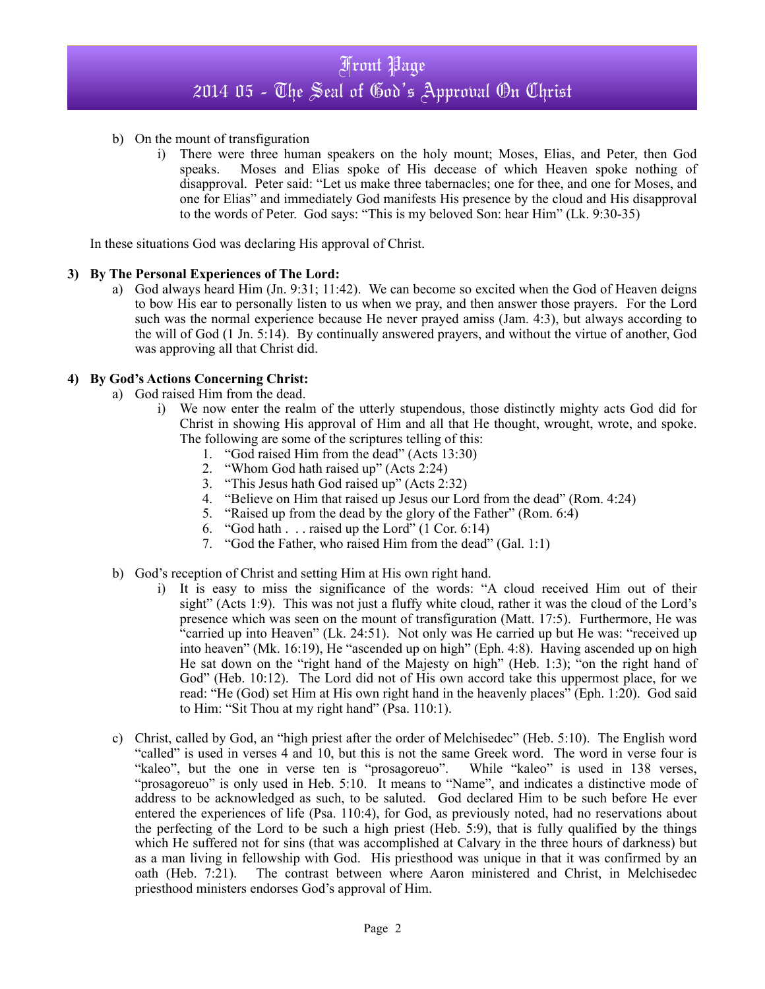- b) On the mount of transfiguration
	- i) There were three human speakers on the holy mount; Moses, Elias, and Peter, then God speaks. Moses and Elias spoke of His decease of which Heaven spoke nothing of disapproval. Peter said: "Let us make three tabernacles; one for thee, and one for Moses, and one for Elias" and immediately God manifests His presence by the cloud and His disapproval to the words of Peter. God says: "This is my beloved Son: hear Him" (Lk. 9:30-35)

In these situations God was declaring His approval of Christ.

#### **3) By The Personal Experiences of The Lord:**

a) God always heard Him (Jn. 9:31; 11:42). We can become so excited when the God of Heaven deigns to bow His ear to personally listen to us when we pray, and then answer those prayers. For the Lord such was the normal experience because He never prayed amiss (Jam. 4:3), but always according to the will of God (1 Jn. 5:14). By continually answered prayers, and without the virtue of another, God was approving all that Christ did.

### **4) By God's Actions Concerning Christ:**

- a) God raised Him from the dead.
	- i) We now enter the realm of the utterly stupendous, those distinctly mighty acts God did for Christ in showing His approval of Him and all that He thought, wrought, wrote, and spoke. The following are some of the scriptures telling of this:
		-
		- 1. "God raised Him from the dead" (Acts 13:30)<br>2. "Whom God hath raised up" (Acts 2:24) "Whom God hath raised up" (Acts 2:24)
		- 3. "This Jesus hath God raised up" (Acts 2:32)
		- 4. "Believe on Him that raised up Jesus our Lord from the dead" (Rom. 4:24)
		- 5. "Raised up from the dead by the glory of the Father" (Rom. 6:4)
		- 6. "God hath  $\ldots$  raised up the Lord" (1 Cor. 6:14)
		- 7. "God the Father, who raised Him from the dead" (Gal. 1:1)
- b) God's reception of Christ and setting Him at His own right hand.
	- i) It is easy to miss the significance of the words: "A cloud received Him out of their sight" (Acts 1:9). This was not just a fluffy white cloud, rather it was the cloud of the Lord's presence which was seen on the mount of transfiguration (Matt. 17:5). Furthermore, He was "carried up into Heaven" (Lk. 24:51). Not only was He carried up but He was: "received up into heaven" (Mk. 16:19), He "ascended up on high" (Eph. 4:8). Having ascended up on high He sat down on the "right hand of the Majesty on high" (Heb. 1:3); "on the right hand of God" (Heb. 10:12). The Lord did not of His own accord take this uppermost place, for we read: "He (God) set Him at His own right hand in the heavenly places" (Eph. 1:20). God said to Him: "Sit Thou at my right hand" (Psa. 110:1).
- c) Christ, called by God, an "high priest after the order of Melchisedec" (Heb. 5:10). The English word "called" is used in verses 4 and 10, but this is not the same Greek word. The word in verse four is "kaleo", but the one in verse ten is "prosagoreuo". While "kaleo" is used in 138 verses, "prosagoreuo" is only used in Heb. 5:10. It means to "Name", and indicates a distinctive mode of address to be acknowledged as such, to be saluted. God declared Him to be such before He ever entered the experiences of life (Psa. 110:4), for God, as previously noted, had no reservations about the perfecting of the Lord to be such a high priest (Heb. 5:9), that is fully qualified by the things which He suffered not for sins (that was accomplished at Calvary in the three hours of darkness) but as a man living in fellowship with God. His priesthood was unique in that it was confirmed by an oath (Heb. 7:21). The contrast between where Aaron ministered and Christ, in Melchisedec priesthood ministers endorses God's approval of Him.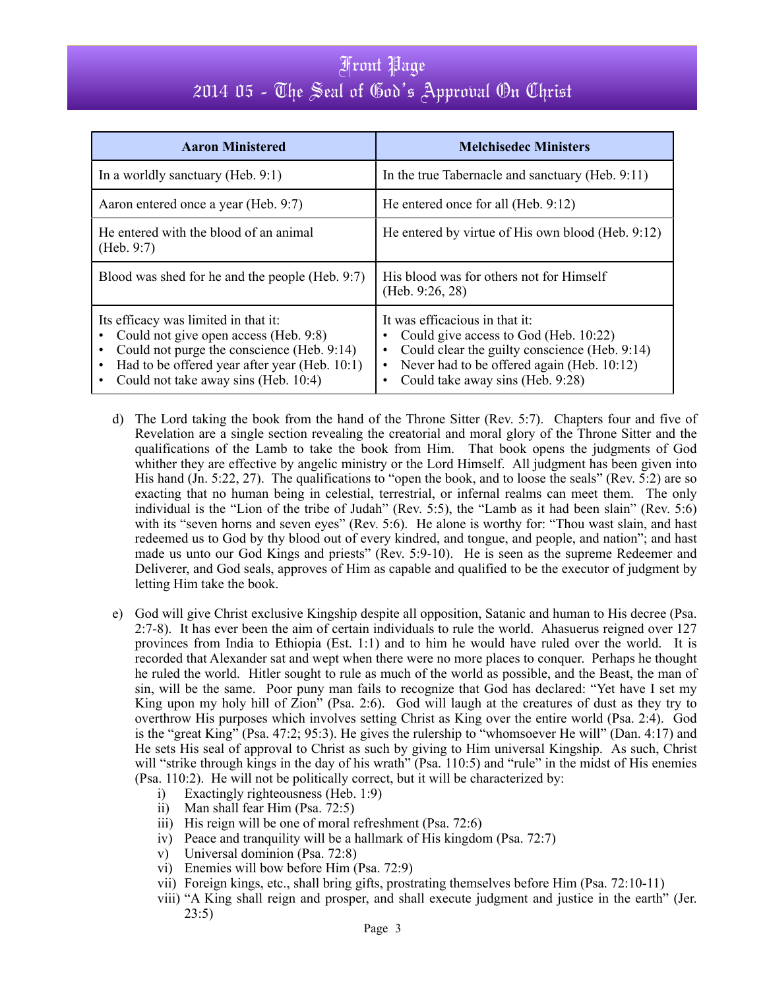## Front Page 2014 05 - The Seal of God's Approval On Christ

| <b>Aaron Ministered</b>                                                                                                                                                                                                                                                  | <b>Melchisedec Ministers</b>                                                                                                                                                                               |
|--------------------------------------------------------------------------------------------------------------------------------------------------------------------------------------------------------------------------------------------------------------------------|------------------------------------------------------------------------------------------------------------------------------------------------------------------------------------------------------------|
| In a worldly sanctuary (Heb. $9:1$ )                                                                                                                                                                                                                                     | In the true Tabernacle and sanctuary (Heb. 9:11)                                                                                                                                                           |
| Aaron entered once a year (Heb. 9:7)                                                                                                                                                                                                                                     | He entered once for all (Heb. 9:12)                                                                                                                                                                        |
| He entered with the blood of an animal<br>(Heb. 9:7)                                                                                                                                                                                                                     | He entered by virtue of His own blood (Heb. 9:12)                                                                                                                                                          |
| Blood was shed for he and the people (Heb. 9:7)                                                                                                                                                                                                                          | His blood was for others not for Himself<br>(Heb. 9:26, 28)                                                                                                                                                |
| Its efficacy was limited in that it:<br>Could not give open access (Heb. 9:8)<br>$\bullet$<br>Could not purge the conscience (Heb. 9:14)<br>$\bullet$<br>Had to be offered year after year (Heb. 10:1)<br>$\bullet$<br>Could not take away sins (Heb. 10:4)<br>$\bullet$ | It was efficacious in that it:<br>Could give access to God (Heb. 10:22)<br>Could clear the guilty conscience (Heb. 9:14)<br>Never had to be offered again (Heb. 10:12)<br>Could take away sins (Heb. 9:28) |

- d) The Lord taking the book from the hand of the Throne Sitter (Rev. 5:7). Chapters four and five of Revelation are a single section revealing the creatorial and moral glory of the Throne Sitter and the qualifications of the Lamb to take the book from Him. That book opens the judgments of God whither they are effective by angelic ministry or the Lord Himself. All judgment has been given into His hand (Jn. 5:22, 27). The qualifications to "open the book, and to loose the seals" (Rev. 5:2) are so exacting that no human being in celestial, terrestrial, or infernal realms can meet them. The only individual is the "Lion of the tribe of Judah" (Rev. 5:5), the "Lamb as it had been slain" (Rev. 5:6) with its "seven horns and seven eyes" (Rev. 5:6). He alone is worthy for: "Thou wast slain, and hast redeemed us to God by thy blood out of every kindred, and tongue, and people, and nation"; and hast made us unto our God Kings and priests" (Rev. 5:9-10). He is seen as the supreme Redeemer and Deliverer, and God seals, approves of Him as capable and qualified to be the executor of judgment by letting Him take the book.
- e) God will give Christ exclusive Kingship despite all opposition, Satanic and human to His decree (Psa. 2:7-8). It has ever been the aim of certain individuals to rule the world. Ahasuerus reigned over 127 provinces from India to Ethiopia (Est. 1:1) and to him he would have ruled over the world. It is recorded that Alexander sat and wept when there were no more places to conquer. Perhaps he thought he ruled the world. Hitler sought to rule as much of the world as possible, and the Beast, the man of sin, will be the same. Poor puny man fails to recognize that God has declared: "Yet have I set my King upon my holy hill of Zion" (Psa. 2:6). God will laugh at the creatures of dust as they try to overthrow His purposes which involves setting Christ as King over the entire world (Psa. 2:4). God is the "great King" (Psa. 47:2; 95:3). He gives the rulership to "whomsoever He will" (Dan. 4:17) and He sets His seal of approval to Christ as such by giving to Him universal Kingship. As such, Christ will "strike through kings in the day of his wrath" (Psa. 110:5) and "rule" in the midst of His enemies (Psa. 110:2). He will not be politically correct, but it will be characterized by:
	- i) Exactingly righteousness (Heb. 1:9)
	- ii) Man shall fear Him (Psa. 72:5)
	- iii) His reign will be one of moral refreshment (Psa. 72:6)
	- iv) Peace and tranquility will be a hallmark of His kingdom (Psa. 72:7)
	- v) Universal dominion (Psa. 72:8)
	- vi) Enemies will bow before Him (Psa. 72:9)
	- vii) Foreign kings, etc., shall bring gifts, prostrating themselves before Him (Psa. 72:10-11)
	- viii) "A King shall reign and prosper, and shall execute judgment and justice in the earth" (Jer. 23:5)